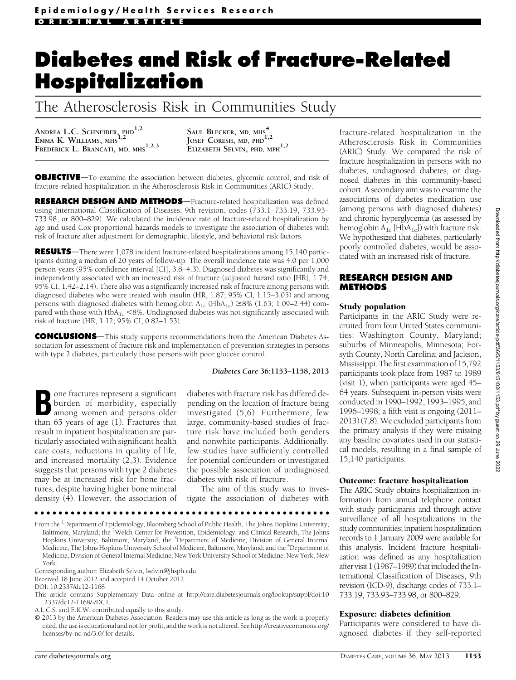# Diabetes and Risk of Fracture-Related Hospitalization

The Atherosclerosis Risk in Communities Study

ANDREA L.C. SCHNEIDER, PHD<sup>1,2</sup> EMMA K. WILLIAMS, MHS<sup>1,2</sup> FREDERICK L. BRANCATI, MD, MHS<sup>1,2,3</sup>

SAUL BLECKER, MD, MHS<sup>4</sup> JOSEF CORESH, MD,  $PHD$ <sup>1,2</sup> ELIZABETH SELVIN, PHD, MPH<sup>1,2</sup>

OBJECTIVE-To examine the association between diabetes, glycemic control, and risk of fracture-related hospitalization in the Atherosclerosis Risk in Communities (ARIC) Study.

RESEARCH DESIGN AND METHODS-Fracture-related hospitalization was defined using International Classification of Diseases, 9th revision, codes (733.1–733.19, 733.93– 733.98, or 800–829). We calculated the incidence rate of fracture-related hospitalization by age and used Cox proportional hazards models to investigate the association of diabetes with risk of fracture after adjustment for demographic, lifestyle, and behavioral risk factors.

RESULTS-There were 1,078 incident fracture-related hospitalizations among 15,140 participants during a median of 20 years of follow-up. The overall incidence rate was 4.0 per 1,000 person-years (95% confidence interval [CI], 3.8–4.3). Diagnosed diabetes was significantly and independently associated with an increased risk of fracture (adjusted hazard ratio [HR], 1.74; 95% CI, 1.42–2.14). There also was a significantly increased risk of fracture among persons with diagnosed diabetes who were treated with insulin (HR, 1.87; 95% CI, 1.15–3.05) and among persons with diagnosed diabetes with hemoglobin  $A_{1c}$  (Hb $A_{1c}$ )  $\geq$ 8% (1.63; 1.09–2.44) compared with those with  $HbA_{1c} < 8\%$ . Undiagnosed diabetes was not significantly associated with risk of fracture (HR, 1.12; 95% CI, 0.82–1.53).

**CONCLUSIONS**—This study supports recommendations from the American Diabetes Association for assessment of fracture risk and implementation of prevention strategies in persons with type 2 diabetes, particularly those persons with poor glucose control.

#### Diabetes Care 36:1153–1158, 2013

Bone fractures represent a significant<br>burden of morbidity, especially<br>among women and persons older burden of morbidity, especially than 65 years of age (1). Fractures that result in inpatient hospitalization are particularly associated with significant health care costs, reductions in quality of life, and increased mortality (2,3). Evidence suggests that persons with type 2 diabetes may be at increased risk for bone fractures, despite having higher bone mineral density (4). However, the association of

diabetes with fracture risk has differed depending on the location of fracture being investigated (5,6). Furthermore, few large, community-based studies of fracture risk have included both genders and nonwhite participants. Additionally, few studies have sufficiently controlled for potential confounders or investigated the possible association of undiagnosed diabetes with risk of fracture.

The aim of this study was to investigate the association of diabetes with fracture-related hospitalization in the Atherosclerosis Risk in Communities (ARIC) Study. We compared the risk of fracture hospitalization in persons with no diabetes, undiagnosed diabetes, or diagnosed diabetes in this community-based cohort. A secondary aim was to examine the associations of diabetes medication use (among persons with diagnosed diabetes) and chronic hyperglycemia (as assessed by hemoglobin  $A_{1c}$  [Hb $A_{1c}$ ]) with fracture risk. We hypothesized that diabetes, particularly poorly controlled diabetes, would be associated with an increased risk of fracture.

#### RESEARCH DESIGN AND METHODS

#### Study population

Participants in the ARIC Study were recruited from four United States communities: Washington County, Maryland; suburbs of Minneapolis, Minnesota; Forsyth County, North Carolina; and Jackson, Mississippi. The first examination of 15,792 participants took place from 1987 to 1989 (visit 1), when participants were aged 45– 64 years. Subsequent in-person visits were conducted in 1990–1992, 1993–1995, and 1996–1998; a fifth visit is ongoing (2011– 2013) (7,8). We excluded participants from the primary analysis if they were missing any baseline covariates used in our statistical models, resulting in a final sample of 15,140 participants.

# Outcome: fracture hospitalization

The ARIC Study obtains hospitalization information from annual telephone contact with study participants and through active surveillance of all hospitalizations in the study communities; inpatient hospitalization records to 1 January 2009 were available for this analysis. Incident fracture hospitalization was defined as any hospitalization after visit 1 (1987–1989) that included the International Classification of Diseases, 9th revision (ICD-9), discharge codes of 733.1– 733.19, 733.93–733.98, or 800–829.

# Exposure: diabetes definition

Participants were considered to have diagnosed diabetes if they self-reported

Received 18 June 2012 and accepted 14 October 2012. DOI: 10.2337/dc12-1168 This article contains Supplementary Data online at [http://care.diabetesjournals.org/lookup/suppl/doi:10](http://care.diabetesjournals.org/lookup/suppl/doi:10.2337/dc12-1168/-/DC1)

Corresponding author: Elizabeth Selvin, [lselvin@jhsph.edu.](mailto:lselvin@jhsph.edu)

ccccccccccccccccccccccccccccccccccccccccccccccccc From the <sup>1</sup>Department of Epidemiology, Bloomberg School of Public Health, The Johns Hopkins University, Baltimore, Maryland; the <sup>2</sup>Welch Center for Prevention, Epidemiology, and Clinical Research, The Johns Hopkins University, Baltimore, Maryland; the <sup>3</sup>Department of Medicine, Division of General Internal Medicine, The Johns Hopkins University School of Medicine, Baltimore, Maryland; and the <sup>4</sup>Department of Medicine, Division of General Internal Medicine, New York University School of Medicine, New York, New

York.

[<sup>.2337/</sup>dc12-1168/-/DC1](http://care.diabetesjournals.org/lookup/suppl/doi:10.2337/dc12-1168/-/DC1). A.L.C.S. and E.K.W. contributed equally to this study.

<sup>© 2013</sup> by the American Diabetes Association. Readers may use this article as long as the work is properly cited, the use is educational and not for profit, and the work is not altered. See [http://creativecommons.org/](http://creativecommons.org/licenses/by-nc-nd/3.0/) [licenses/by-nc-nd/3.0/](http://creativecommons.org/licenses/by-nc-nd/3.0/) for details.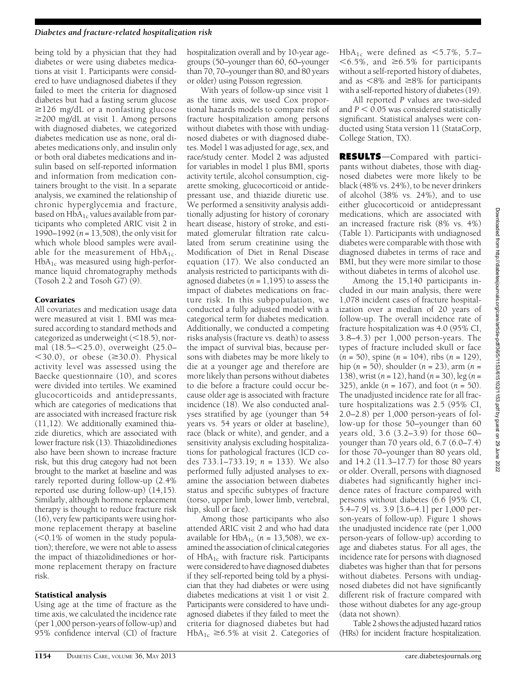#### Diabetes and fracture-related hospitalization risk

being told by a physician that they had diabetes or were using diabetes medications at visit 1. Participants were considered to have undiagnosed diabetes if they failed to meet the criteria for diagnosed diabetes but had a fasting serum glucose  $\geq$ 126 mg/dL or a nonfasting glucose  $\geq$ 200 mg/dL at visit 1. Among persons with diagnosed diabetes, we categorized diabetes medication use as none, oral diabetes medications only, and insulin only or both oral diabetes medications and insulin based on self-reported information and information from medication containers brought to the visit. In a separate analysis, we examined the relationship of chronic hyperglycemia and fracture, based on  $HbA_{1c}$  values available from participants who completed ARIC visit 2 in 1990–1992 ( $n = 13,508$ ), the only visit for which whole blood samples were available for the measurement of  $HbA_{1c}$ .  $HbA_{1c}$  was measured using high-performance liquid chromatography methods (Tosoh 2.2 and Tosoh G7) (9).

# Covariates

All covariates and medication usage data were measured at visit 1. BMI was measured according to standard methods and categorized as underweight  $(<18.5)$ , normal (18.5-<25.0), overweight (25.0- $<$ 30.0), or obese ( $\geq$ 30.0). Physical activity level was assessed using the Baecke questionnaire (10), and scores were divided into tertiles. We examined glucocorticoids and antidepressants, which are categories of medications that are associated with increased fracture risk (11,12). We additionally examined thiazide diuretics, which are associated with lower fracture risk (13). Thiazolidinediones also have been shown to increase fracture risk, but this drug category had not been brought to the market at baseline and was rarely reported during follow-up (2.4% reported use during follow-up) (14,15). Similarly, although hormone replacement therapy is thought to reduce fracture risk (16), very few participants were using hormone replacement therapy at baseline  $(<0.1\%$  of women in the study population); therefore, we were not able to assess the impact of thiazolidinediones or hormone replacement therapy on fracture risk.

# Statistical analysis

Using age at the time of fracture as the time axis, we calculated the incidence rate (per 1,000 person-years of follow-up) and 95% confidence interval (CI) of fracture hospitalization overall and by 10-year agegroups (50–younger than 60, 60–younger than 70, 70–younger than 80, and 80 years or older) using Poisson regression.

With years of follow-up since visit 1 as the time axis, we used Cox proportional hazards models to compare risk of fracture hospitalization among persons without diabetes with those with undiagnosed diabetes or with diagnosed diabetes. Model 1 was adjusted for age, sex, and race/study center. Model 2 was adjusted for variables in model 1 plus BMI, sports activity tertile, alcohol consumption, cigarette smoking, glucocorticoid or antidepressant use, and thiazide diuretic use. We performed a sensitivity analysis additionally adjusting for history of coronary heart disease, history of stroke, and estimated glomerular filtration rate calculated from serum creatinine using the Modification of Diet in Renal Disease equation (17). We also conducted an analysis restricted to participants with diagnosed diabetes ( $n = 1,195$ ) to assess the impact of diabetes medications on fracture risk. In this subpopulation, we conducted a fully adjusted model with a categorical term for diabetes medication. Additionally, we conducted a competing risks analysis (fracture vs. death) to assess the impact of survival bias, because persons with diabetes may be more likely to die at a younger age and therefore are more likely than persons without diabetes to die before a fracture could occur because older age is associated with fracture incidence (18). We also conducted analyses stratified by age (younger than 54 years vs. 54 years or older at baseline), race (black or white), and gender, and a sensitivity analysis excluding hospitalizations for pathological fractures (ICD codes  $733.1 - 733.19$ ;  $n = 133$ ). We also performed fully adjusted analyses to examine the association between diabetes status and specific subtypes of fracture (torso, upper limb, lower limb, vertebral, hip, skull or face).

Among those participants who also attended ARIC visit 2 and who had data available for  $HbA_{1c}$  (n = 13,508), we examined the association of clinical categories of  $HbA_{1c}$  with fracture risk. Participants were considered to have diagnosed diabetes if they self-reported being told by a physician that they had diabetes or were using diabetes medications at visit 1 or visit 2. Participants were considered to have undiagnosed diabetes if they failed to meet the criteria for diagnosed diabetes but had  $HbA_{1c} \geq 6.5\%$  at visit 2. Categories of

HbA<sub>1c</sub> were defined as  $<5.7\%$ , 5.7–  $<$  6.5%, and  $\geq$  6.5% for participants without a self-reported history of diabetes, and as  $<8\%$  and  $\geq<8\%$  for participants with a self-reported history of diabetes (19).

All reported P values are two-sided and  $P < 0.05$  was considered statistically significant. Statistical analyses were conducted using Stata version 11 (StataCorp, College Station, TX).

RESULTS-Compared with participants without diabetes, those with diagnosed diabetes were more likely to be black (48% vs. 24%), to be never drinkers of alcohol (38% vs. 24%), and to use either glucocorticoid or antidepressant medications, which are associated with an increased fracture risk (8% vs. 4%) (Table 1). Participants with undiagnosed diabetes were comparable with those with diagnosed diabetes in terms of race and BMI, but they were more similar to those without diabetes in terms of alcohol use.

Among the 15,140 participants included in our main analysis, there were 1,078 incident cases of fracture hospitalization over a median of 20 years of follow-up. The overall incidence rate of fracture hospitalization was 4.0 (95% CI, 3.8–4.3) per 1,000 person-years. The types of fracture included skull or face  $(n = 50)$ , spine  $(n = 104)$ , ribs  $(n = 129)$ , hip (*n* = 50), shoulder (*n* = 23), arm (*n* = 138), wrist  $(n = 12)$ , hand  $(n = 30)$ , leg  $(n = 12)$ 325), ankle  $(n = 167)$ , and foot  $(n = 50)$ . The unadjusted incidence rate for all fracture hospitalizations was 2.5 (95% CI, 2.0–2.8) per 1,000 person-years of follow-up for those 50–younger than 60 years old, 3.6 (3.2–3.9) for those 60– younger than 70 years old, 6.7 (6.0–7.4) for those 70–younger than 80 years old, and 14.2 (11.3–17.7) for those 80 years or older. Overall, persons with diagnosed diabetes had significantly higher incidence rates of fracture compared with persons without diabetes (6.6 [95% CI, 5.4–7.9] vs. 3.9 [3.6–4.1] per 1,000 person-years of follow-up). Figure 1 shows the unadjusted incidence rate (per 1,000 person-years of follow-up) according to age and diabetes status. For all ages, the incidence rate for persons with diagnosed diabetes was higher than that for persons without diabetes. Persons with undiagnosed diabetes did not have significantly different risk of fracture compared with those without diabetes for any age-group (data not shown).

Table 2 showsthe adjusted hazard ratios (HRs) for incident fracture hospitalization.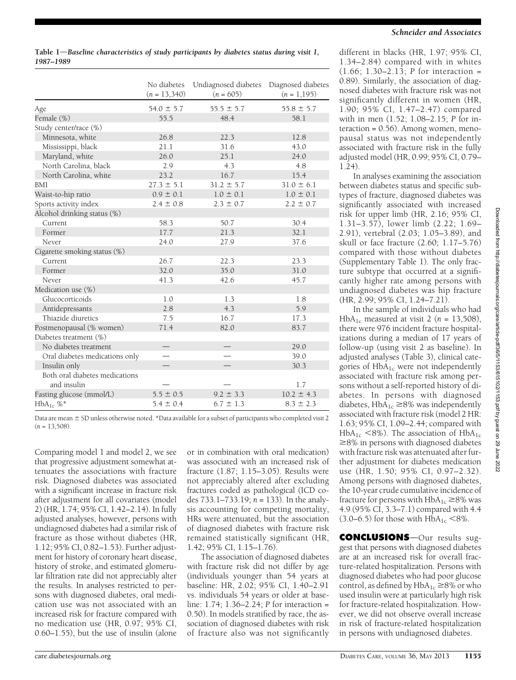Table  $1$ —Baseline characteristics of study participants by diabetes status during visit 1, 1987–1989

|                                | No diabetes    | Undiagnosed diabetes | Diagnosed diabetes |
|--------------------------------|----------------|----------------------|--------------------|
|                                | $(n = 13,340)$ | $(n = 605)$          | $(n = 1, 195)$     |
| Age                            | $54.0 \pm 5.7$ | $55.5 \pm 5.7$       | $55.8 \pm 5.7$     |
| Female (%)                     | 55.5           | 48.4                 | 58.1               |
| Study center/race (%)          |                |                      |                    |
| Minnesota, white               | 26.8           | 22.3                 | 12.8               |
| Mississippi, black             | 21.1           | 31.6                 | 43.0               |
| Maryland, white                | 26.0           | 25.1                 | 24.0               |
| North Carolina, black          | 2.9            | 4.3                  | 4.8                |
| North Carolina, white          | 23.2           | 16.7                 | 15.4               |
| <b>BMI</b>                     | $27.3 \pm 5.1$ | $31.2 \pm 5.7$       | $31.0 \pm 6.1$     |
| Waist-to-hip ratio             | $0.9 \pm 0.1$  | $1.0 \pm 0.1$        | $1.0 \pm 0.1$      |
| Sports activity index          | $2.4 \pm 0.8$  | $2.3 \pm 0.7$        | $2.2 \pm 0.7$      |
| Alcohol drinking status (%)    |                |                      |                    |
| Current                        | 58.3           | 50.7                 | 30.4               |
| Former                         | 17.7           | 21.3                 | 32.1               |
| Never                          | 24.0           | 27.9                 | 37.6               |
| Cigarette smoking status (%)   |                |                      |                    |
| Current                        | 26.7           | 22.3                 | 23.3               |
| Former                         | 32.0           | 35.0                 | 31.0               |
| Never                          | 41.3           | 42.6                 | 45.7               |
| Medication use (%)             |                |                      |                    |
| Glucocorticoids                | 1.0            | 1.3                  | 1.8                |
| Antidepressants                | 2.8            | 4.3                  | 5.9                |
| Thiazide diuretics             | 7.5            | 16.7                 | 17.3               |
| Postmenopausal (% women)       | 71.4           | 82.0                 | 83.7               |
| Diabetes treatment (%)         |                |                      |                    |
| No diabetes treatment          |                |                      | 29.0               |
| Oral diabetes medications only |                |                      | 39.0               |
| Insulin only                   |                |                      | 30.3               |
| Both oral diabetes medications |                |                      |                    |
| and insulin                    |                |                      | 1.7                |
| Fasting glucose (mmol/L)       | $5.5 \pm 0.5$  | $9.2 \pm 3.3$        | $10.2 \pm 4.3$     |
| $HbA_{1c}$ %*                  | $5.4 \pm 0.4$  | $6.7 \pm 1.3$        | $8.3 \pm 2.3$      |

Data are mean  $\pm$  SD unless otherwise noted. \*Data available for a subset of participants who completed visit 2  $(n = 13,508)$ .

Comparing model 1 and model 2, we see that progressive adjustment somewhat attenuates the associations with fracture risk. Diagnosed diabetes was associated with a significant increase in fracture risk after adjustment for all covariates (model 2) (HR, 1.74; 95% CI, 1.42–2.14). In fully adjusted analyses, however, persons with undiagnosed diabetes had a similar risk of fracture as those without diabetes (HR, 1.12; 95% CI, 0.82–1.53). Further adjustment for history of coronary heart disease, history of stroke, and estimated glomerular filtration rate did not appreciably alter the results. In analyses restricted to persons with diagnosed diabetes, oral medication use was not associated with an increased risk for fracture compared with no medication use (HR, 0.97; 95% CI, 0.60–1.55), but the use of insulin (alone

or in combination with oral medication) was associated with an increased risk of fracture (1.87; 1.15–3.05). Results were not appreciably altered after excluding fractures coded as pathological (ICD codes  $733.1 - 733.19$ ;  $n = 133$ ). In the analysis accounting for competing mortality, HRs were attenuated, but the association of diagnosed diabetes with fracture risk remained statistically significant (HR, 1.42; 95% CI, 1.15–1.76).

The association of diagnosed diabetes with fracture risk did not differ by age (individuals younger than 54 years at baseline: HR, 2.02; 95% CI, 1.40–2.91 vs. individuals 54 years or older at baseline: 1.74; 1.36–2.24; P for interaction = 0.50). In models stratified by race, the association of diagnosed diabetes with risk of fracture also was not significantly

different in blacks (HR, 1.97; 95% CI, 1.34–2.84) compared with in whites  $(1.66; 1.30 - 2.13; P$  for interaction = 0.89). Similarly, the association of diagnosed diabetes with fracture risk was not significantly different in women (HR, 1.90; 95% CI, 1.47–2.47) compared with in men (1.52; 1.08–2.15; P for interaction  $= 0.56$ ). Among women, menopausal status was not independently associated with fracture risk in the fully adjusted model (HR, 0.99; 95% CI, 0.79– 1.24).

In analyses examining the association between diabetes status and specific subtypes of fracture, diagnosed diabetes was significantly associated with increased risk for upper limb (HR, 2.16; 95% CI, 1.31–3.57), lower limb (2.22; 1.69– 2.91), vertebral (2.03; 1.05–3.89), and skull or face fracture (2.60; 1.17–5.76) compared with those without diabetes ([Supplementary Table 1\)](http://care.diabetesjournals.org/lookup/suppl/doi:10.2337/dc12-1168/-/DC1). The only fracture subtype that occurred at a significantly higher rate among persons with undiagnosed diabetes was hip fracture (HR, 2.99; 95% CI, 1.24–7.21).

In the sample of individuals who had HbA<sub>1c</sub> measured at visit 2 ( $n = 13,508$ ), there were 976 incident fracture hospitalizations during a median of 17 years of follow-up (using visit 2 as baseline). In adjusted analyses (Table 3), clinical categories of  $HbA_{1c}$  were not independently associated with fracture risk among persons without a self-reported history of diabetes. In persons with diagnosed diabetes,  $HbA_{1c} \geq 8\%$  was independently associated with fracture risk (model 2 HR: 1.63; 95% CI, 1.09–2.44; compared with  $HbA_{1c}$  <8%). The association of  $HbA_{1c}$  $\geq$ 8% in persons with diagnosed diabetes with fracture risk was attenuated after further adjustment for diabetes medication use (HR, 1.50; 95% CI, 0.97–2.32). Among persons with diagnosed diabetes, the 10-year crude cumulative incidence of fracture for persons with  $HbA_{1c} \geq 8\%$  was 4.9 (95% CI, 3.3–7.1) compared with 4.4 (3.0–6.5) for those with  $HbA_{1c} < 8\%$ .

**CONCLUSIONS**-Our results suggest that persons with diagnosed diabetes are at an increased risk for overall fracture-related hospitalization. Persons with diagnosed diabetes who had poor glucose control, as defined by  $HbA_{1c} \geq 8\%$  or who used insulin were at particularly high risk for fracture-related hospitalization. However, we did not observe overall increase in risk of fracture-related hospitalization in persons with undiagnosed diabetes.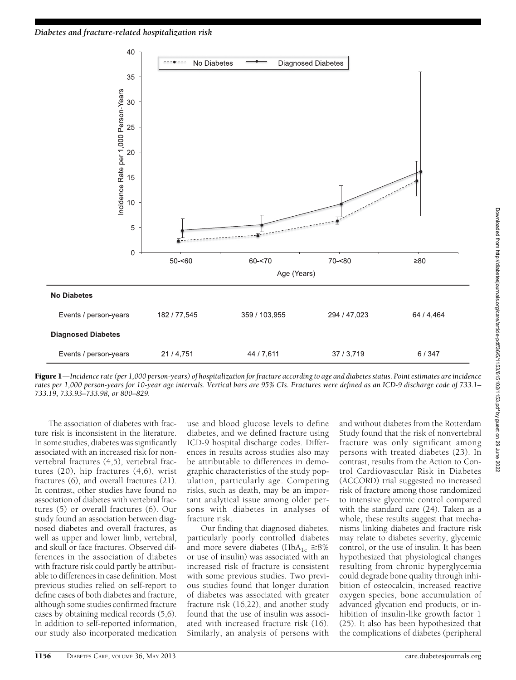

Figure 1—Incidence rate (per 1,000 person-years) of hospitalization for fracture according to age and diabetes status. Point estimates are incidence rates per 1,000 person-years for 10-year age intervals. Vertical bars are 95% CIs. Fractures were defined as an ICD-9 discharge code of 733.1– 733.19, 733.93–733.98, or 800–829.

The association of diabetes with fracture risk is inconsistent in the literature. In some studies, diabetes was significantly associated with an increased risk for nonvertebral fractures (4,5), vertebral fractures (20), hip fractures (4,6), wrist fractures (6), and overall fractures (21). In contrast, other studies have found no association of diabetes with vertebral fractures (5) or overall fractures (6). Our study found an association between diagnosed diabetes and overall fractures, as well as upper and lower limb, vertebral, and skull or face fractures. Observed differences in the association of diabetes with fracture risk could partly be attributable to differences in case definition. Most previous studies relied on self-report to define cases of both diabetes and fracture, although some studies confirmed fracture cases by obtaining medical records (5,6). In addition to self-reported information, our study also incorporated medication use and blood glucose levels to define diabetes, and we defined fracture using ICD-9 hospital discharge codes. Differences in results across studies also may be attributable to differences in demographic characteristics of the study population, particularly age. Competing risks, such as death, may be an important analytical issue among older persons with diabetes in analyses of fracture risk.

Our finding that diagnosed diabetes, particularly poorly controlled diabetes and more severe diabetes (HbA<sub>1c</sub>  $\geq$ 8% or use of insulin) was associated with an increased risk of fracture is consistent with some previous studies. Two previous studies found that longer duration of diabetes was associated with greater fracture risk (16,22), and another study found that the use of insulin was associated with increased fracture risk (16). Similarly, an analysis of persons with

and without diabetes from the Rotterdam Study found that the risk of nonvertebral fracture was only significant among persons with treated diabetes (23). In contrast, results from the Action to Control Cardiovascular Risk in Diabetes (ACCORD) trial suggested no increased risk of fracture among those randomized to intensive glycemic control compared with the standard care (24). Taken as a whole, these results suggest that mechanisms linking diabetes and fracture risk may relate to diabetes severity, glycemic control, or the use of insulin. It has been hypothesized that physiological changes resulting from chronic hyperglycemia could degrade bone quality through inhibition of osteocalcin, increased reactive oxygen species, bone accumulation of advanced glycation end products, or inhibition of insulin-like growth factor 1 (25). It also has been hypothesized that the complications of diabetes (peripheral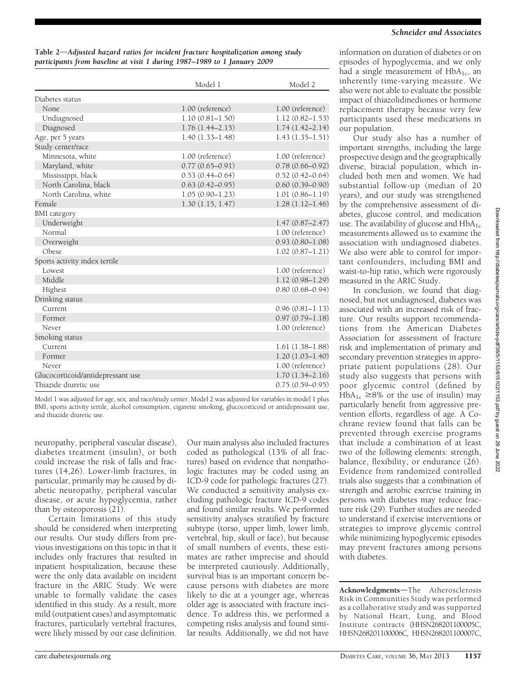Table 2-Adjusted hazard ratios for incident fracture hospitalization among study participants from baseline at visit 1 during 1987–1989 to 1 January 2009

|                                   | Model 1             | Model 2             |
|-----------------------------------|---------------------|---------------------|
| Diabetes status                   |                     |                     |
| None.                             | 1.00 (reference)    | 1.00 (reference)    |
| Undiagnosed                       | $1.10(0.81 - 1.50)$ | $1.12(0.82 - 1.53)$ |
| Diagnosed                         | $1.76(1.44 - 2.15)$ | $1.74(1.42 - 2.14)$ |
| Age, per 5 years                  | $1.40(1.33 - 1.48)$ | $1.43(1.35 - 1.51)$ |
| Study center/race                 |                     |                     |
| Minnesota, white                  | 1.00 (reference)    | 1.00 (reference)    |
| Maryland, white                   | $0.77(0.65 - 0.91)$ | $0.78(0.66 - 0.92)$ |
| Mississippi, black                | $0.53(0.44 - 0.64)$ | $0.52(0.42 - 0.64)$ |
| North Carolina, black             | $0.63(0.42 - 0.95)$ | $0.60(0.39 - 0.90)$ |
| North Carolina, white             | $1.05(0.90 - 1.23)$ | $1.01(0.86 - 1.19)$ |
| Female                            | 1.30(1.15, 1.47)    | $1.28(1.12 - 1.46)$ |
| <b>BMI</b> category               |                     |                     |
| Underweight                       |                     | $1.47(0.87 - 2.47)$ |
| Normal                            |                     | 1.00 (reference)    |
| Overweight                        |                     | $0.93(0.80 - 1.08)$ |
| Obese                             |                     | $1.02(0.87 - 1.21)$ |
| Sports activity index tertile     |                     |                     |
| Lowest                            |                     | 1.00 (reference)    |
| Middle                            |                     | $1.12(0.98 - 1.29)$ |
| Highest                           |                     | $0.80(0.68 - 0.94)$ |
| Drinking status                   |                     |                     |
| Current                           |                     | $0.96(0.81 - 1.13)$ |
| Former                            |                     | $0.97(0.79 - 1.18)$ |
| Never                             |                     | 1.00 (reference)    |
| Smoking status                    |                     |                     |
| Current                           |                     | $1.61(1.38-1.88)$   |
| Former                            |                     | $1.20(1.03 - 1.40)$ |
| Never                             |                     | 1.00 (reference)    |
| Glucocorticoid/antidepressant use |                     | $1.70(1.34 - 2.16)$ |
| Thiazide diuretic use             |                     | $0.75(0.59 - 0.95)$ |

Model 1 was adjusted for age, sex, and race/study center. Model 2 was adjusted for variables in model 1 plus BMI, sports activity tertile, alcohol consumption, cigarette smoking, glucocorticoid or antidepressant use, and thiazide diuretic use.

neuropathy, peripheral vascular disease), diabetes treatment (insulin), or both could increase the risk of falls and fractures (14,26). Lower-limb fractures, in particular, primarily may be caused by diabetic neuropathy, peripheral vascular disease, or acute hypoglycemia, rather than by osteoporosis (21).

Certain limitations of this study should be considered when interpreting our results. Our study differs from previous investigations on this topic in that it includes only fractures that resulted in inpatient hospitalization, because these were the only data available on incident fracture in the ARIC Study. We were unable to formally validate the cases identified in this study. As a result, more mild (outpatient cases) and asymptomatic fractures, particularly vertebral fractures, were likely missed by our case definition.

Our main analysis also included fractures coded as pathological (13% of all fractures) based on evidence that nonpathologic fractures may be coded using an ICD-9 code for pathologic fractures (27). We conducted a sensitivity analysis excluding pathologic fracture ICD-9 codes and found similar results. We performed sensitivity analyses stratified by fracture subtype (torso, upper limb, lower limb, vertebral, hip, skull or face), but because of small numbers of events, these estimates are rather imprecise and should be interpreted cautiously. Additionally, survival bias is an important concern because persons with diabetes are more likely to die at a younger age, whereas older age is associated with fracture incidence. To address this, we performed a competing risks analysis and found similar results. Additionally, we did not have

information on duration of diabetes or on episodes of hypoglycemia, and we only had a single measurement of  $HbA_{1c}$ , an inherently time-varying measure. We also were not able to evaluate the possible impact of thiazolidinediones or hormone replacement therapy because very few participants used these medications in our population.

Our study also has a number of important strengths, including the large prospective design and the geographically diverse, biracial population, which included both men and women. We had substantial follow-up (median of 20 years), and our study was strengthened by the comprehensive assessment of diabetes, glucose control, and medication use. The availability of glucose and  $HbA_{1c}$ measurements allowed us to examine the association with undiagnosed diabetes. We also were able to control for important confounders, including BMI and waist-to-hip ratio, which were rigorously measured in the ARIC Study.

In conclusion, we found that diagnosed, but not undiagnosed, diabetes was associated with an increased risk of fracture. Our results support recommendations from the American Diabetes Association for assessment of fracture risk and implementation of primary and secondary prevention strategies in appropriate patient populations (28). Our study also suggests that persons with poor glycemic control (defined by  $HbA_{1c} \geq 8\%$  or the use of insulin) may particularly benefit from aggressive prevention efforts, regardless of age. A Cochrane review found that falls can be prevented through exercise programs that include a combination of at least two of the following elements: strength, balance, flexibility, or endurance (26). Evidence from randomized controlled trials also suggests that a combination of strength and aerobic exercise training in persons with diabetes may reduce fracture risk (29). Further studies are needed to understand if exercise interventions or strategies to improve glycemic control while minimizing hypoglycemic episodes may prevent fractures among persons with diabetes.

Acknowledgments-The Atherosclerosis Risk in Communities Study was performed as a collaborative study and was supported by National Heart, Lung, and Blood Institute contracts (HHSN268201100005C, HHSN268201100006C, HHSN268201100007C,